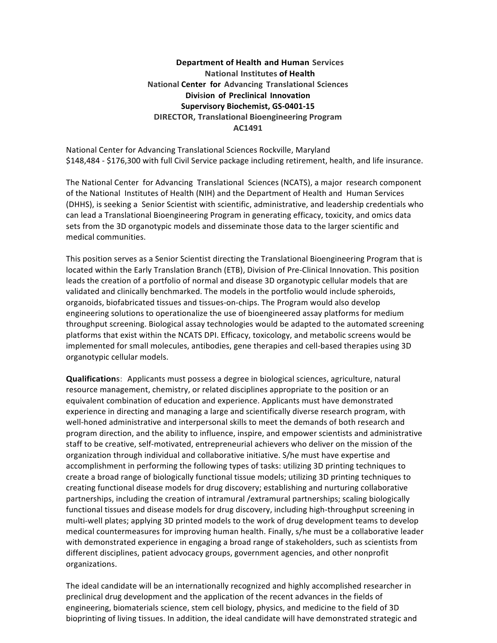## **Department of Health and Human Services National Institutes of Health National Center for Advancing Translational Sciences Division of Preclinical Innovation** Supervisory Biochemist, GS-0401-15 **DIRECTOR, Translational Bioengineering Program AC1491**

National Center for Advancing Translational Sciences Rockville, Maryland \$148,484 - \$176,300 with full Civil Service package including retirement, health, and life insurance.

The National Center for Advancing Translational Sciences (NCATS), a major research component of the National Institutes of Health (NIH) and the Department of Health and Human Services (DHHS), is seeking a Senior Scientist with scientific, administrative, and leadership credentials who can lead a Translational Bioengineering Program in generating efficacy, toxicity, and omics data sets from the 3D organotypic models and disseminate those data to the larger scientific and medical communities.

This position serves as a Senior Scientist directing the Translational Bioengineering Program that is located within the Early Translation Branch (ETB), Division of Pre-Clinical Innovation. This position leads the creation of a portfolio of normal and disease 3D organotypic cellular models that are validated and clinically benchmarked. The models in the portfolio would include spheroids, organoids, biofabricated tissues and tissues-on-chips. The Program would also develop engineering solutions to operationalize the use of bioengineered assay platforms for medium throughput screening. Biological assay technologies would be adapted to the automated screening platforms that exist within the NCATS DPI. Efficacy, toxicology, and metabolic screens would be implemented for small molecules, antibodies, gene therapies and cell-based therapies using 3D organotypic cellular models.

**Qualifications**: Applicants must possess a degree in biological sciences, agriculture, natural resource management, chemistry, or related disciplines appropriate to the position or an equivalent combination of education and experience. Applicants must have demonstrated experience in directing and managing a large and scientifically diverse research program, with well-honed administrative and interpersonal skills to meet the demands of both research and program direction, and the ability to influence, inspire, and empower scientists and administrative staff to be creative, self-motivated, entrepreneurial achievers who deliver on the mission of the organization through individual and collaborative initiative. S/he must have expertise and accomplishment in performing the following types of tasks: utilizing 3D printing techniques to create a broad range of biologically functional tissue models; utilizing 3D printing techniques to creating functional disease models for drug discovery; establishing and nurturing collaborative partnerships, including the creation of intramural /extramural partnerships; scaling biologically functional tissues and disease models for drug discovery, including high-throughput screening in multi-well plates; applying 3D printed models to the work of drug development teams to develop medical countermeasures for improving human health. Finally, s/he must be a collaborative leader with demonstrated experience in engaging a broad range of stakeholders, such as scientists from different disciplines, patient advocacy groups, government agencies, and other nonprofit organizations.

The ideal candidate will be an internationally recognized and highly accomplished researcher in preclinical drug development and the application of the recent advances in the fields of engineering, biomaterials science, stem cell biology, physics, and medicine to the field of 3D bioprinting of living tissues. In addition, the ideal candidate will have demonstrated strategic and